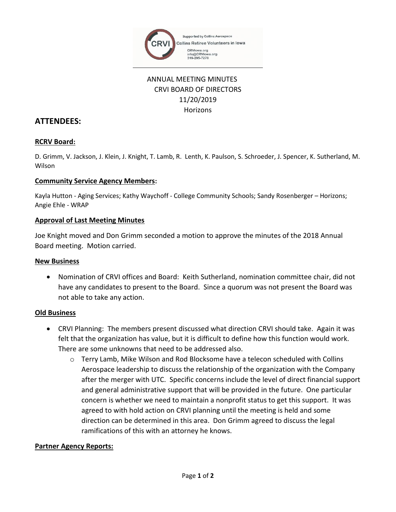

# ANNUAL MEETING MINUTES CRVI BOARD OF DIRECTORS 11/20/2019 **Horizons**

# **ATTENDEES:**

# **RCRV Board:**

D. Grimm, V. Jackson, J. Klein, J. Knight, T. Lamb, R. Lenth, K. Paulson, S. Schroeder, J. Spencer, K. Sutherland, M. Wilson

#### **Community Service Agency Members:**

Kayla Hutton - Aging Services; Kathy Waychoff - College Community Schools; Sandy Rosenberger – Horizons; Angie Ehle - WRAP

#### **Approval of Last Meeting Minutes**

Joe Knight moved and Don Grimm seconded a motion to approve the minutes of the 2018 Annual Board meeting. Motion carried.

#### **New Business**

• Nomination of CRVI offices and Board: Keith Sutherland, nomination committee chair, did not have any candidates to present to the Board. Since a quorum was not present the Board was not able to take any action.

# **Old Business**

- CRVI Planning: The members present discussed what direction CRVI should take. Again it was felt that the organization has value, but it is difficult to define how this function would work. There are some unknowns that need to be addressed also.
	- o Terry Lamb, Mike Wilson and Rod Blocksome have a telecon scheduled with Collins Aerospace leadership to discuss the relationship of the organization with the Company after the merger with UTC. Specific concerns include the level of direct financial support and general administrative support that will be provided in the future. One particular concern is whether we need to maintain a nonprofit status to get this support. It was agreed to with hold action on CRVI planning until the meeting is held and some direction can be determined in this area. Don Grimm agreed to discuss the legal ramifications of this with an attorney he knows.

# **Partner Agency Reports:**